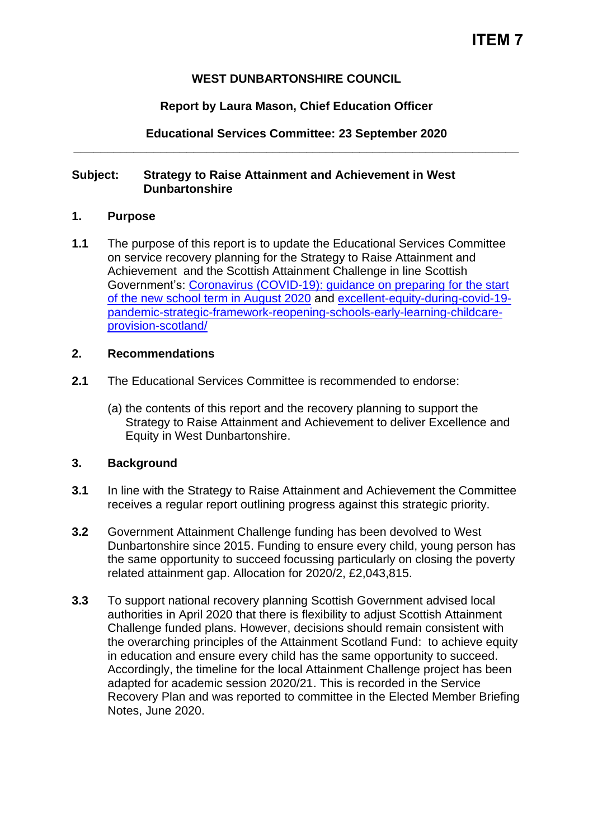### **WEST DUNBARTONSHIRE COUNCIL**

### **Report by Laura Mason, Chief Education Officer**

**Educational Services Committee: 23 September 2020 \_\_\_\_\_\_\_\_\_\_\_\_\_\_\_\_\_\_\_\_\_\_\_\_\_\_\_\_\_\_\_\_\_\_\_\_\_\_\_\_\_\_\_\_\_\_\_\_\_\_\_\_\_\_\_\_\_\_\_\_\_\_\_\_\_\_\_**

#### **Subject: Strategy to Raise Attainment and Achievement in West Dunbartonshire**

### **1. Purpose**

**1.1** The purpose of this report is to update the Educational Services Committee on service recovery planning for the Strategy to Raise Attainment and Achievement and the Scottish Attainment Challenge in line Scottish Government's: [Coronavirus \(COVID-19\): guidance on preparing for the start](https://www.gov.scot/publications/coronavirus-covid-19-guidance-preparing-start-new-school-term-august-2020/)  [of the new school term in August 2020](https://www.gov.scot/publications/coronavirus-covid-19-guidance-preparing-start-new-school-term-august-2020/) and [excellent-equity-during-covid-19](https://www.gov.scot/publications/excellent-equity-during-covid-19-pandemic-strategic-framework-reopening-schools-early-learning-childcare-provision-scotland/) [pandemic-strategic-framework-reopening-schools-early-learning-childcare](https://www.gov.scot/publications/excellent-equity-during-covid-19-pandemic-strategic-framework-reopening-schools-early-learning-childcare-provision-scotland/)[provision-scotland/](https://www.gov.scot/publications/excellent-equity-during-covid-19-pandemic-strategic-framework-reopening-schools-early-learning-childcare-provision-scotland/)

#### **2. Recommendations**

- **2.1** The Educational Services Committee is recommended to endorse:
	- (a) the contents of this report and the recovery planning to support the Strategy to Raise Attainment and Achievement to deliver Excellence and Equity in West Dunbartonshire.

# **3. Background**

- **3.1** In line with the Strategy to Raise Attainment and Achievement the Committee receives a regular report outlining progress against this strategic priority.
- **3.2** Government Attainment Challenge funding has been devolved to West Dunbartonshire since 2015. Funding to ensure every child, young person has the same opportunity to succeed focussing particularly on closing the poverty related attainment gap. Allocation for 2020/2, £2,043,815.
- **3.3** To support national recovery planning Scottish Government advised local authorities in April 2020 that there is flexibility to adjust Scottish Attainment Challenge funded plans. However, decisions should remain consistent with the overarching principles of the Attainment Scotland Fund: to achieve equity in education and ensure every child has the same opportunity to succeed. Accordingly, the timeline for the local Attainment Challenge project has been adapted for academic session 2020/21. This is recorded in the Service Recovery Plan and was reported to committee in the Elected Member Briefing Notes, June 2020.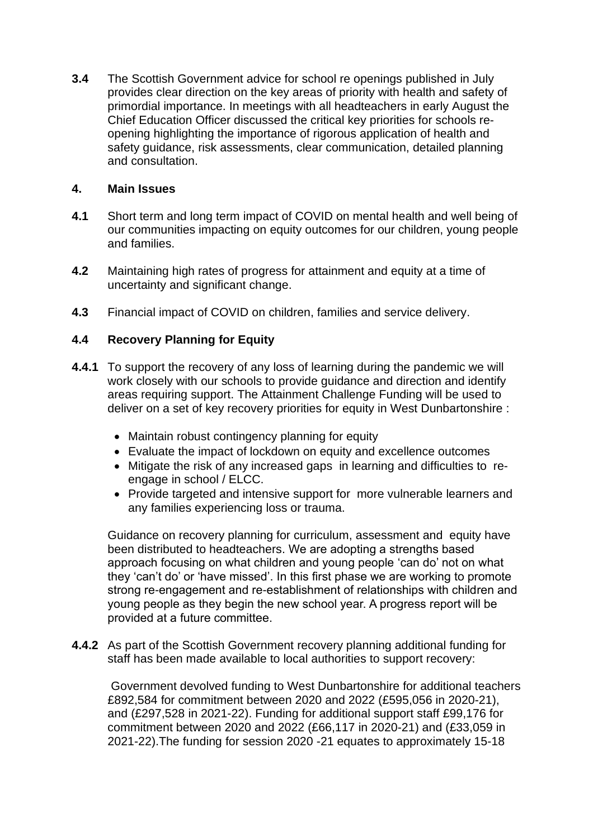**3.4** The Scottish Government advice for school re openings published in July provides clear direction on the key areas of priority with health and safety of primordial importance. In meetings with all headteachers in early August the Chief Education Officer discussed the critical key priorities for schools reopening highlighting the importance of rigorous application of health and safety guidance, risk assessments, clear communication, detailed planning and consultation.

#### **4. Main Issues**

- **4.1** Short term and long term impact of COVID on mental health and well being of our communities impacting on equity outcomes for our children, young people and families.
- **4.2** Maintaining high rates of progress for attainment and equity at a time of uncertainty and significant change.
- **4.3** Financial impact of COVID on children, families and service delivery.

# **4.4 Recovery Planning for Equity**

- **4.4.1** To support the recovery of any loss of learning during the pandemic we will work closely with our schools to provide guidance and direction and identify areas requiring support. The Attainment Challenge Funding will be used to deliver on a set of key recovery priorities for equity in West Dunbartonshire :
	- Maintain robust contingency planning for equity
	- Evaluate the impact of lockdown on equity and excellence outcomes
	- Mitigate the risk of any increased gaps in learning and difficulties to reengage in school / ELCC.
	- Provide targeted and intensive support for more vulnerable learners and any families experiencing loss or trauma.

Guidance on recovery planning for curriculum, assessment and equity have been distributed to headteachers. We are adopting a strengths based approach focusing on what children and young people 'can do' not on what they 'can't do' or 'have missed'. In this first phase we are working to promote strong re-engagement and re-establishment of relationships with children and young people as they begin the new school year. A progress report will be provided at a future committee.

**4.4.2** As part of the Scottish Government recovery planning additional funding for staff has been made available to local authorities to support recovery:

Government devolved funding to West Dunbartonshire for additional teachers £892,584 for commitment between 2020 and 2022 (£595,056 in 2020-21), and (£297,528 in 2021-22). Funding for additional support staff £99,176 for commitment between 2020 and 2022 (£66,117 in 2020-21) and (£33,059 in 2021-22).The funding for session 2020 -21 equates to approximately 15-18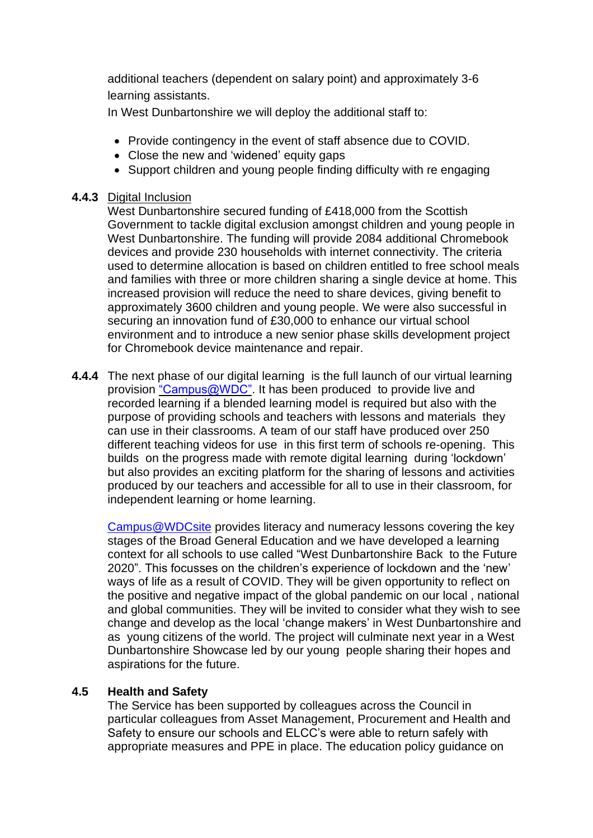additional teachers (dependent on salary point) and approximately 3-6 learning assistants.

In West Dunbartonshire we will deploy the additional staff to:

- Provide contingency in the event of staff absence due to COVID.
- Close the new and 'widened' equity gaps
- Support children and young people finding difficulty with re engaging

#### **4.4.3** Digital Inclusion

West Dunbartonshire secured funding of £418,000 from the Scottish Government to tackle digital exclusion amongst children and young people in West Dunbartonshire. The funding will provide 2084 additional Chromebook devices and provide 230 households with internet connectivity. The criteria used to determine allocation is based on children entitled to free school meals and families with three or more children sharing a single device at home. This increased provision will reduce the need to share devices, giving benefit to approximately 3600 children and young people. We were also successful in securing an innovation fund of £30,000 to enhance our virtual school environment and to introduce a new senior phase skills development project for Chromebook device maintenance and repair.

**4.4.4** The next phase of our digital learning is the full launch of our virtual learning provision ["Campus@WDC".](https://www.youtube.com/watch?v=NEaRxnt4yLU) It has been produced to provide live and recorded learning if a blended learning model is required but also with the purpose of providing schools and teachers with lessons and materials they can use in their classrooms. A team of our staff have produced over 250 different teaching videos for use in this first term of schools re-opening. This builds on the progress made with remote digital learning during 'lockdown' but also provides an exciting platform for the sharing of lessons and activities produced by our teachers and accessible for all to use in their classroom, for independent learning or home learning.

[Campus@WDCsite](https://sites.google.com/ourcloud.buzz/wdcvirtualschool/home) provides literacy and numeracy lessons covering the key stages of the Broad General Education and we have developed a learning context for all schools to use called "West Dunbartonshire Back [to the Future](https://youtu.be/KwiDUYd34XM)  [2020"](https://youtu.be/KwiDUYd34XM). This focusses on the children's experience of lockdown and the 'new' ways of life as a result of COVID. They will be given opportunity to reflect on the positive and negative impact of the global pandemic on our local , national and global communities. They will be invited to consider what they wish to see change and develop as the local 'change makers' in West Dunbartonshire and as young citizens of the world. The project will culminate next year in a West Dunbartonshire Showcase led by our young people sharing their hopes and aspirations for the future.

# **4.5 Health and Safety**

The Service has been supported by colleagues across the Council in particular colleagues from Asset Management, Procurement and Health and Safety to ensure our schools and ELCC's were able to return safely with appropriate measures and PPE in place. The education policy guidance on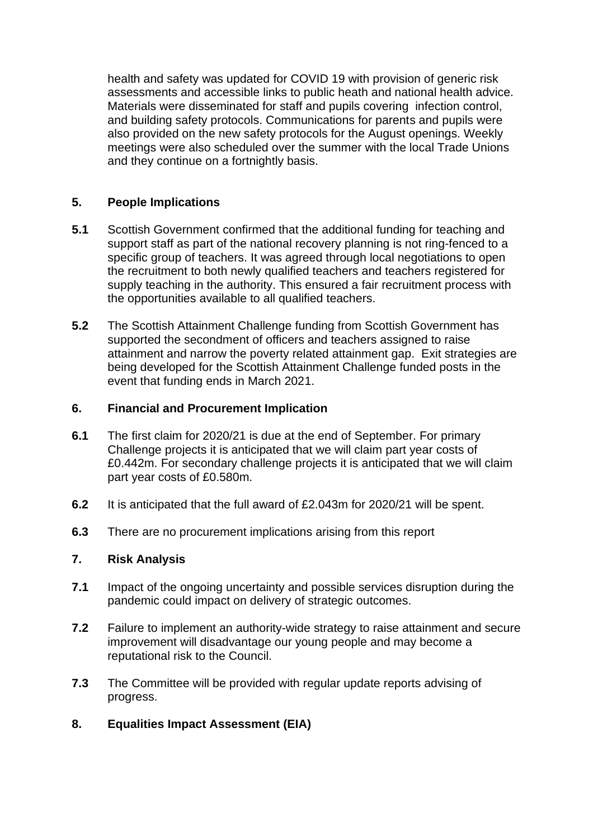health and safety was updated for COVID 19 with provision of generic risk assessments and accessible links to public heath and national health advice. Materials were disseminated for staff and pupils covering infection control, and building safety protocols. Communications for parents and pupils were also provided on the new safety protocols for the August openings. Weekly meetings were also scheduled over the summer with the local Trade Unions and they continue on a fortnightly basis.

### **5. People Implications**

- **5.1** Scottish Government confirmed that the additional funding for teaching and support staff as part of the national recovery planning is not ring-fenced to a specific group of teachers. It was agreed through local negotiations to open the recruitment to both newly qualified teachers and teachers registered for supply teaching in the authority. This ensured a fair recruitment process with the opportunities available to all qualified teachers.
- **5.2** The Scottish Attainment Challenge funding from Scottish Government has supported the secondment of officers and teachers assigned to raise attainment and narrow the poverty related attainment gap. Exit strategies are being developed for the Scottish Attainment Challenge funded posts in the event that funding ends in March 2021.

### **6. Financial and Procurement Implication**

- **6.1** The first claim for 2020/21 is due at the end of September. For primary Challenge projects it is anticipated that we will claim part year costs of £0.442m. For secondary challenge projects it is anticipated that we will claim part year costs of £0.580m.
- **6.2** It is anticipated that the full award of £2.043m for 2020/21 will be spent.
- **6.3** There are no procurement implications arising from this report

# **7. Risk Analysis**

- **7.1** Impact of the ongoing uncertainty and possible services disruption during the pandemic could impact on delivery of strategic outcomes.
- **7.2** Failure to implement an authority-wide strategy to raise attainment and secure improvement will disadvantage our young people and may become a reputational risk to the Council.
- **7.3** The Committee will be provided with regular update reports advising of progress.

# **8. Equalities Impact Assessment (EIA)**